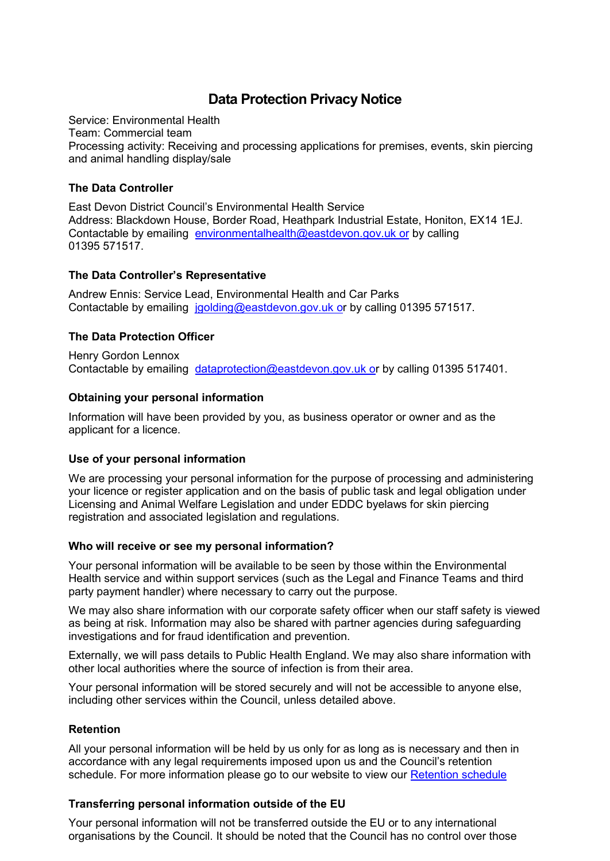# **Data Protection Privacy Notice**

Service: Environmental Health Team: Commercial team Processing activity: Receiving and processing applications for premises, events, skin piercing and animal handling display/sale

### **The Data Controller**

East Devon District Council's Environmental Health Service Address: Blackdown House, Border Road, Heathpark Industrial Estate, Honiton, EX14 1EJ. Contactable by emailing [environmentalhealth@eastdevon.gov.uk](mailto:environmentalhealth@eastdevon.gov.uk) or by calling 01395 571517.

## **The Data Controller's Representative**

Andrew Ennis: Service Lead, Environmental Health and Car Parks Contactable by emailing [jgolding@eastdevon.gov.uk](mailto:jgolding@eastdevon.gov.uk) or by calling 01395 571517.

# **The Data Protection Officer**

Henry Gordon Lennox Contactable by emailing [dataprotection@eastdevon.gov.uk](mailto:dataprotection@eastdevon.gov.uk) or by calling 01395 517401.

## **Obtaining your personal information**

Information will have been provided by you, as business operator or owner and as the applicant for a licence.

#### **Use of your personal information**

We are processing your personal information for the purpose of processing and administering your licence or register application and on the basis of public task and legal obligation under Licensing and Animal Welfare Legislation and under EDDC byelaws for skin piercing registration and associated legislation and regulations.

#### **Who will receive or see my personal information?**

Your personal information will be available to be seen by those within the Environmental Health service and within support services (such as the Legal and Finance Teams and third party payment handler) where necessary to carry out the purpose.

We may also share information with our corporate safety officer when our staff safety is viewed as being at risk. Information may also be shared with partner agencies during safeguarding investigations and for fraud identification and prevention.

Externally, we will pass details to Public Health England. We may also share information with other local authorities where the source of infection is from their area.

Your personal information will be stored securely and will not be accessible to anyone else, including other services within the Council, unless detailed above.

#### **Retention**

All your personal information will be held by us only for as long as is necessary and then in accordance with any legal requirements imposed upon us and the Council's retention schedule. For more information please go to our website to view our [Retention schedule](http://eastdevon.gov.uk/access-to-information/data-protection/document-retention-schedules/)

# **Transferring personal information outside of the EU**

Your personal information will not be transferred outside the EU or to any international organisations by the Council. It should be noted that the Council has no control over those